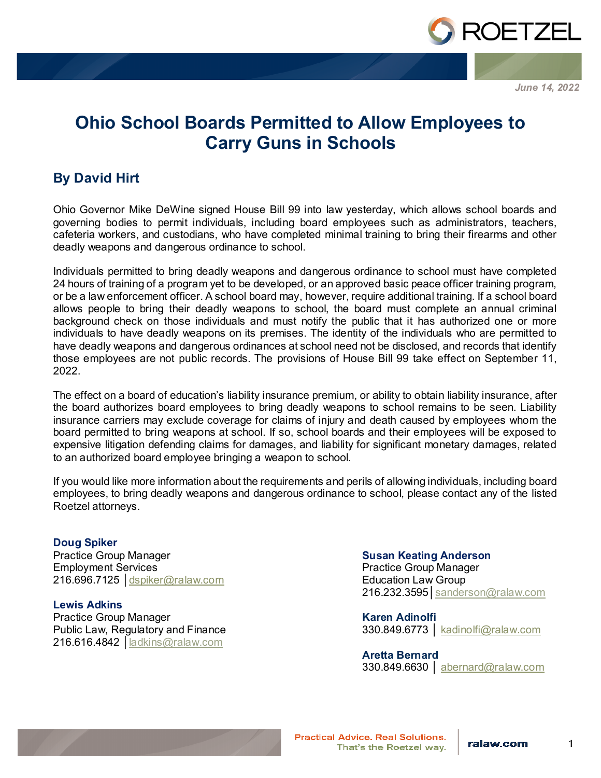

*June 14, 2022*

## **Ohio School Boards Permitted to Allow Employees to Carry Guns in Schools**

## **By David Hirt**

Ohio Governor Mike DeWine signed House Bill 99 into law yesterday, which allows school boards and governing bodies to permit individuals, including board employees such as administrators, teachers, cafeteria workers, and custodians, who have completed minimal training to bring their firearms and other deadly weapons and dangerous ordinance to school.

Individuals permitted to bring deadly weapons and dangerous ordinance to school must have completed 24 hours of training of a program yet to be developed, or an approved basic peace officer training program, or be a law enforcement officer. A school board may, however, require additional training. If a school board allows people to bring their deadly weapons to school, the board must complete an annual criminal background check on those individuals and must notify the public that it has authorized one or more individuals to have deadly weapons on its premises. The identity of the individuals who are permitted to have deadly weapons and dangerous ordinances at school need not be disclosed, and records that identify those employees are not public records. The provisions of House Bill 99 take effect on September 11, 2022.

The effect on a board of education's liability insurance premium, or ability to obtain liability insurance, after the board authorizes board employees to bring deadly weapons to school remains to be seen. Liability insurance carriers may exclude coverage for claims of injury and death caused by employees whom the board permitted to bring weapons at school. If so, school boards and their employees will be exposed to expensive litigation defending claims for damages, and liability for significant monetary damages, related to an authorized board employee bringing a weapon to school.

If you would like more information about the requirements and perils of allowing individuals, including board employees, to bring deadly weapons and dangerous ordinance to school, please contact any of the listed Roetzel attorneys.

**Doug Spiker** Practice Group Manager Employment Services 216.696.7125 │[dspiker@ralaw.com](mailto:dspiker@ralaw.com)

**Lewis Adkins** Practice Group Manager Public Law, Regulatory and Finance 216.616.4842 │[ladkins@ralaw.com](mailto:ladkins@ralaw.com)

## **Susan Keating Anderson**

Practice Group Manager Education Law Group 216.232.3595 | [sanderson@ralaw.com](mailto:sanderson@ralaw.com)

**Karen Adinolfi** 330.849.6773 | kadinolfi@ralaw.com

**Aretta Bernard**

330.849.6630 │ abernard@ralaw.com